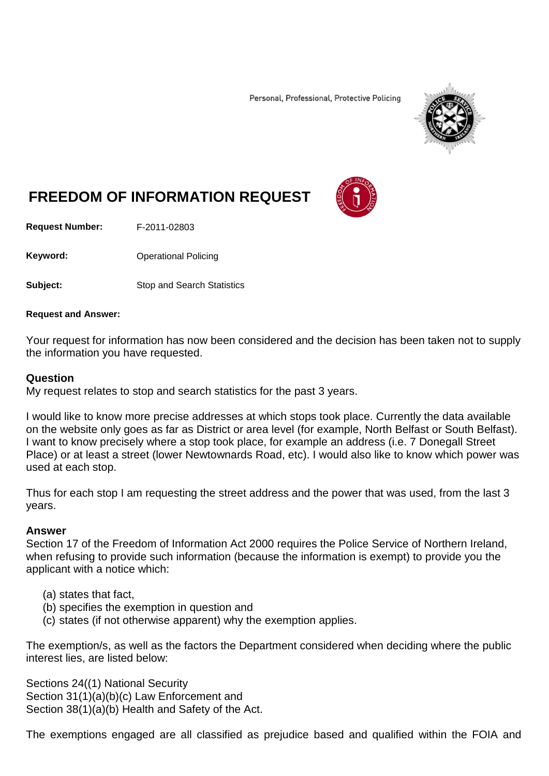Personal, Professional, Protective Policing



# **FREEDOM OF INFORMATION REQUEST**

**Request Number:** F-2011-02803

Keyword: **Channel Policing** Operational Policing

**Subject:** Stop and Search Statistics

#### **Request and Answer:**

Your request for information has now been considered and the decision has been taken not to supply the information you have requested.

#### **Question**

My request relates to stop and search statistics for the past 3 years.

I would like to know more precise addresses at which stops took place. Currently the data available on the website only goes as far as District or area level (for example, North Belfast or South Belfast). I want to know precisely where a stop took place, for example an address (i.e. 7 Donegall Street Place) or at least a street (lower Newtownards Road, etc). I would also like to know which power was used at each stop.

Thus for each stop I am requesting the street address and the power that was used, from the last 3 years.

#### **Answer**

Section 17 of the Freedom of Information Act 2000 requires the Police Service of Northern Ireland, when refusing to provide such information (because the information is exempt) to provide you the applicant with a notice which:

- (a) states that fact,
- (b) specifies the exemption in question and
- (c) states (if not otherwise apparent) why the exemption applies.

The exemption/s, as well as the factors the Department considered when deciding where the public interest lies, are listed below:

Sections 24((1) National Security Section 31(1)(a)(b)(c) Law Enforcement and Section 38(1)(a)(b) Health and Safety of the Act.

The exemptions engaged are all classified as prejudice based and qualified within the FOIA and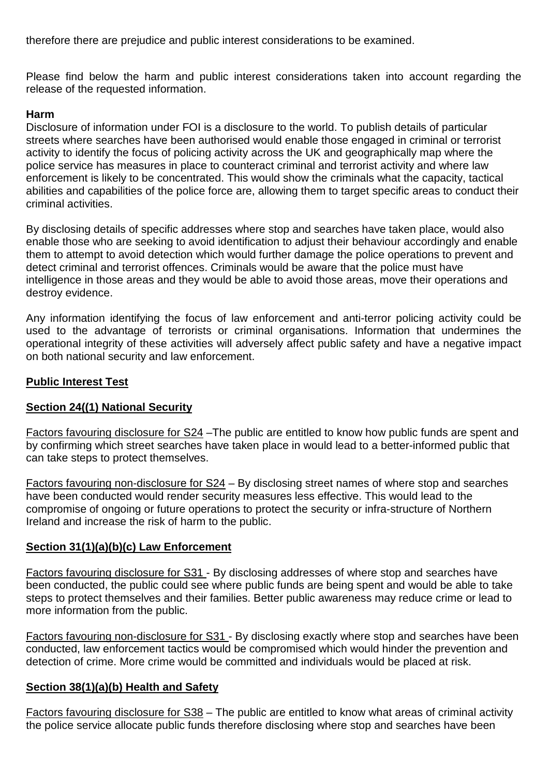therefore there are prejudice and public interest considerations to be examined.

Please find below the harm and public interest considerations taken into account regarding the release of the requested information.

#### **Harm**

Disclosure of information under FOI is a disclosure to the world. To publish details of particular streets where searches have been authorised would enable those engaged in criminal or terrorist activity to identify the focus of policing activity across the UK and geographically map where the police service has measures in place to counteract criminal and terrorist activity and where law enforcement is likely to be concentrated. This would show the criminals what the capacity, tactical abilities and capabilities of the police force are, allowing them to target specific areas to conduct their criminal activities.

By disclosing details of specific addresses where stop and searches have taken place, would also enable those who are seeking to avoid identification to adjust their behaviour accordingly and enable them to attempt to avoid detection which would further damage the police operations to prevent and detect criminal and terrorist offences. Criminals would be aware that the police must have intelligence in those areas and they would be able to avoid those areas, move their operations and destroy evidence.

Any information identifying the focus of law enforcement and anti-terror policing activity could be used to the advantage of terrorists or criminal organisations. Information that undermines the operational integrity of these activities will adversely affect public safety and have a negative impact on both national security and law enforcement.

#### **Public Interest Test**

## **Section 24((1) National Security**

Factors favouring disclosure for S24 –The public are entitled to know how public funds are spent and by confirming which street searches have taken place in would lead to a better-informed public that can take steps to protect themselves.

Factors favouring non-disclosure for S24 – By disclosing street names of where stop and searches have been conducted would render security measures less effective. This would lead to the compromise of ongoing or future operations to protect the security or infra-structure of Northern Ireland and increase the risk of harm to the public.

## **Section 31(1)(a)(b)(c) Law Enforcement**

Factors favouring disclosure for S31 - By disclosing addresses of where stop and searches have been conducted, the public could see where public funds are being spent and would be able to take steps to protect themselves and their families. Better public awareness may reduce crime or lead to more information from the public.

Factors favouring non-disclosure for S31 - By disclosing exactly where stop and searches have been conducted, law enforcement tactics would be compromised which would hinder the prevention and detection of crime. More crime would be committed and individuals would be placed at risk.

## **Section 38(1)(a)(b) Health and Safety**

Factors favouring disclosure for S38 – The public are entitled to know what areas of criminal activity the police service allocate public funds therefore disclosing where stop and searches have been